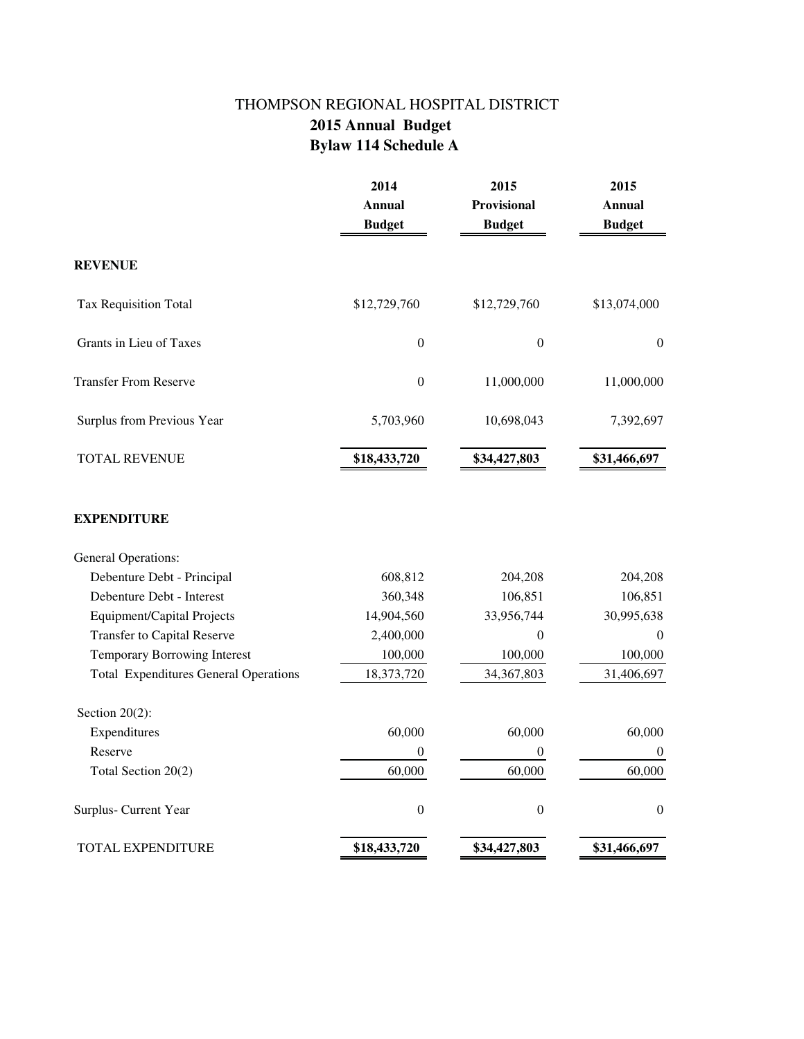## THOMPSON REGIONAL HOSPITAL DISTRICT  **2015 Annual Budget Bylaw 114 Schedule A**

|                                              | 2014<br><b>Annual</b><br><b>Budget</b> | 2015<br>Provisional<br><b>Budget</b> | 2015<br><b>Annual</b><br><b>Budget</b> |
|----------------------------------------------|----------------------------------------|--------------------------------------|----------------------------------------|
| <b>REVENUE</b>                               |                                        |                                      |                                        |
| Tax Requisition Total                        | \$12,729,760                           | \$12,729,760                         | \$13,074,000                           |
| Grants in Lieu of Taxes                      | $\boldsymbol{0}$                       | $\boldsymbol{0}$                     | $\boldsymbol{0}$                       |
| <b>Transfer From Reserve</b>                 | $\boldsymbol{0}$                       | 11,000,000                           | 11,000,000                             |
| Surplus from Previous Year                   | 5,703,960                              | 10,698,043                           | 7,392,697                              |
| <b>TOTAL REVENUE</b>                         | \$18,433,720                           | \$34,427,803                         | \$31,466,697                           |
| <b>EXPENDITURE</b>                           |                                        |                                      |                                        |
| <b>General Operations:</b>                   |                                        |                                      |                                        |
| Debenture Debt - Principal                   | 608,812                                | 204,208                              | 204,208                                |
| Debenture Debt - Interest                    | 360,348                                | 106,851                              | 106,851                                |
| <b>Equipment/Capital Projects</b>            | 14,904,560                             | 33,956,744                           | 30,995,638                             |
| <b>Transfer to Capital Reserve</b>           | 2,400,000                              | $\mathbf{0}$                         | $\boldsymbol{0}$                       |
| <b>Temporary Borrowing Interest</b>          | 100,000                                | 100,000                              | 100,000                                |
| <b>Total Expenditures General Operations</b> | 18,373,720                             | 34,367,803                           | 31,406,697                             |
| Section $20(2)$ :                            |                                        |                                      |                                        |
| Expenditures                                 | 60,000                                 | 60,000                               | 60,000                                 |
| Reserve                                      | $\boldsymbol{0}$                       | $\boldsymbol{0}$                     | $\boldsymbol{0}$                       |
| Total Section 20(2)                          | 60,000                                 | 60,000                               | 60,000                                 |
| Surplus- Current Year                        | $\boldsymbol{0}$                       | $\boldsymbol{0}$                     | $\boldsymbol{0}$                       |
| TOTAL EXPENDITURE                            | \$18,433,720                           | \$34,427,803                         | \$31,466,697                           |